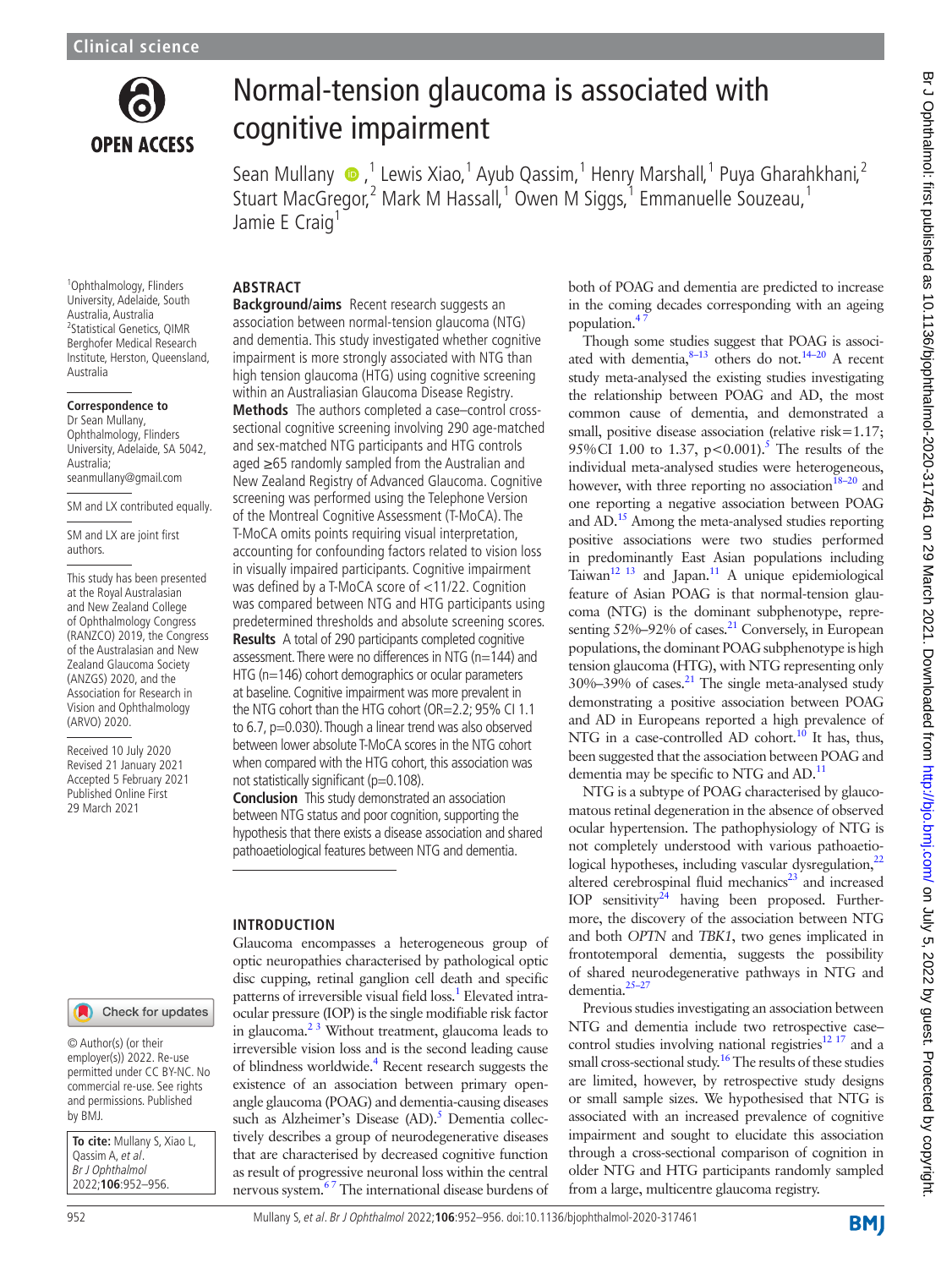

# Normal-tension glaucoma is associated with cognitive impairment

SeanMullany  $\bullet$ ,<sup>1</sup> Lewis Xiao,<sup>1</sup> Ayub Qassim,<sup>1</sup> Henry Marshall,<sup>1</sup> Puya Gharahkhani,<sup>2</sup> Stuart MacGregor,<sup>2</sup> Mark M Hassall,<sup>1</sup> Owen M Siggs,<sup>1</sup> Emmanuelle Souzeau,<sup>1</sup> Jamie E Craig<sup>1</sup>

<sup>1</sup>Ophthalmology, Flinders University, Adelaide, South Australia, Australia 2 Statistical Genetics, QIMR Berghofer Medical Research Institute, Herston, Queensland, Australia

#### **Correspondence to**

Dr Sean Mullany, Ophthalmology, Flinders University, Adelaide, SA 5042, Australia; seanmullany@gmail.com

SM and LX contributed equally.

SM and LX are joint first authors.

This study has been presented at the Royal Australasian and New Zealand College of Ophthalmology Congress (RANZCO) 2019, the Congress of the Australasian and New Zealand Glaucoma Society (ANZGS) 2020, and the Association for Research in Vision and Ophthalmology (ARVO) 2020.

Received 10 July 2020 Revised 21 January 2021 Accepted 5 February 2021 Published Online First 29 March 2021

### **ABSTRACT**

**Background/aims** Recent research suggests an association between normal-tension glaucoma (NTG) and dementia. This study investigated whether cognitive impairment is more strongly associated with NTG than high tension glaucoma (HTG) using cognitive screening within an Australiasian Glaucoma Disease Registry.

**Methods** The authors completed a case–control crosssectional cognitive screening involving 290 age-matched and sex-matched NTG participants and HTG controls aged ≥65 randomly sampled from the Australian and New Zealand Registry of Advanced Glaucoma. Cognitive screening was performed using the Telephone Version of the Montreal Cognitive Assessment (T-MoCA). The T-MoCA omits points requiring visual interpretation, accounting for confounding factors related to vision loss in visually impaired participants. Cognitive impairment was defined by a T-MoCA score of <11/22. Cognition was compared between NTG and HTG participants using predetermined thresholds and absolute screening scores. **Results** A total of 290 participants completed cognitive assessment. There were no differences in NTG (n=144) and HTG (n=146) cohort demographics or ocular parameters at baseline. Cognitive impairment was more prevalent in the NTG cohort than the HTG cohort (OR=2.2; 95% CI 1.1 to 6.7, p=0.030). Though a linear trend was also observed between lower absolute T-MoCA scores in the NTG cohort when compared with the HTG cohort, this association was not statistically significant (p=0.108).

**Conclusion** This study demonstrated an association between NTG status and poor cognition, supporting the hypothesis that there exists a disease association and shared pathoaetiological features between NTG and dementia.

### **INTRODUCTION**

Glaucoma encompasses a heterogeneous group of optic neuropathies characterised by pathological optic disc cupping, retinal ganglion cell death and specific patterns of irreversible visual field loss.<sup>1</sup> Elevated intraocular pressure (IOP) is the single modifiable risk factor in glaucoma. $2<sup>3</sup>$  Without treatment, glaucoma leads to irreversible vision loss and is the second leading cause of blindness worldwide.<sup>[4](#page-4-2)</sup> Recent research suggests the existence of an association between primary openangle glaucoma (POAG) and dementia-causing diseases such as Alzheimer's Disease (AD).<sup>[5](#page-4-3)</sup> Dementia collectively describes a group of neurodegenerative diseases that are characterised by decreased cognitive function as result of progressive neuronal loss within the central nervous system.<sup>67</sup> The international disease burdens of

both of POAG and dementia are predicted to increase in the coming decades corresponding with an ageing population.<sup>4</sup>

Though some studies suggest that POAG is associated with dementia, $8-13$  others do not.<sup>[14–20](#page-4-6)</sup> A recent study meta-analysed the existing studies investigating the relationship between POAG and AD, the most common cause of dementia, and demonstrated a small, positive disease association (relative risk=1.17; 95%CI 1.00 to 1.37,  $p < 0.001$ ).<sup>5</sup> The results of the individual meta-analysed studies were heterogeneous, however, with three reporting no association<sup>18-20</sup> and one reporting a negative association between POAG and AD.<sup>15</sup> Among the meta-analysed studies reporting positive associations were two studies performed in predominantly East Asian populations including Taiwan $^{12}$  <sup>13</sup> and Japan.<sup>11</sup> A unique epidemiological feature of Asian POAG is that normal-tension glaucoma (NTG) is the dominant subphenotype, representing  $52\% - 92\%$  of cases.<sup>21</sup> Conversely, in European populations, the dominant POAG subphenotype is high tension glaucoma (HTG), with NTG representing only  $30\% - 39\%$  of cases.<sup>21</sup> The single meta-analysed study demonstrating a positive association between POAG and AD in Europeans reported a high prevalence of NTG in a case-controlled AD cohort.<sup>10</sup> It has, thus, been suggested that the association between POAG and dementia may be specific to NTG and AD.<sup>[11](#page-4-10)</sup>

NTG is a subtype of POAG characterised by glaucomatous retinal degeneration in the absence of observed ocular hypertension. The pathophysiology of NTG is not completely understood with various pathoaetiological hypotheses, including vascular dysregulation, $^{22}$ altered cerebrospinal fluid mechanics $^{23}$  and increased IOP sensitivity $^{24}$  having been proposed. Furthermore, the discovery of the association between NTG and both *OPTN* and *TBK1*, two genes implicated in frontotemporal dementia, suggests the possibility of shared neurodegenerative pathways in NTG and dementia[.25–27](#page-4-16)

Previous studies investigating an association between NTG and dementia include two retrospective case– control studies involving national registries $12 17$  and a small cross-sectional study.[16](#page-4-17) The results of these studies are limited, however, by retrospective study designs or small sample sizes. We hypothesised that NTG is associated with an increased prevalence of cognitive impairment and sought to elucidate this association through a cross-sectional comparison of cognition in older NTG and HTG participants randomly sampled from a large, multicentre glaucoma registry.

### Check for updates

© Author(s) (or their employer(s)) 2022. Re-use permitted under CC BY-NC. No commercial re-use. See rights and permissions. Published by BMJ.

**To cite:** Mullany S, Xiao L, Qassim A, et al. Br J Ophthalmol 2022;**106**:952–956.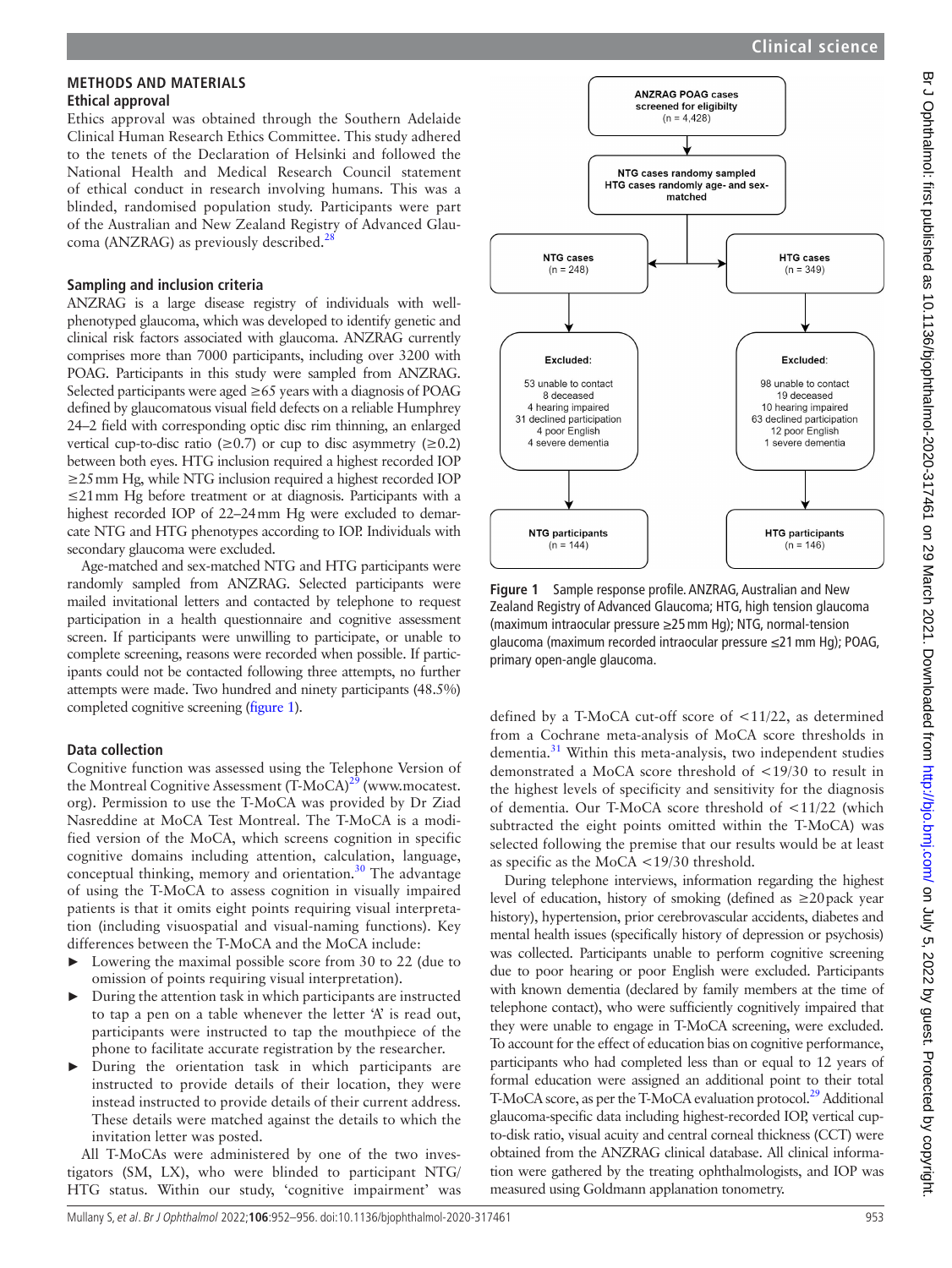#### **METHODS AND MATERIALS Ethical approval**

Ethics approval was obtained through the Southern Adelaide Clinical Human Research Ethics Committee. This study adhered to the tenets of the Declaration of Helsinki and followed the National Health and Medical Research Council statement of ethical conduct in research involving humans. This was a blinded, randomised population study. Participants were part of the Australian and New Zealand Registry of Advanced Glaucoma (ANZRAG) as previously described.<sup>28</sup>

# **Sampling and inclusion criteria**

ANZRAG is a large disease registry of individuals with wellphenotyped glaucoma, which was developed to identify genetic and clinical risk factors associated with glaucoma. ANZRAG currently comprises more than 7000 participants, including over 3200 with POAG. Participants in this study were sampled from ANZRAG. Selected participants were aged  $\geq 65$  years with a diagnosis of POAG defined by glaucomatous visual field defects on a reliable Humphrey 24–2 field with corresponding optic disc rim thinning, an enlarged vertical cup-to-disc ratio ( $\geq 0.7$ ) or cup to disc asymmetry ( $\geq 0.2$ ) between both eyes. HTG inclusion required a highest recorded IOP ≥25mm Hg, while NTG inclusion required a highest recorded IOP ≤21mm Hg before treatment or at diagnosis. Participants with a highest recorded IOP of 22–24mm Hg were excluded to demarcate NTG and HTG phenotypes according to IOP. Individuals with secondary glaucoma were excluded.

Age-matched and sex-matched NTG and HTG participants were randomly sampled from ANZRAG. Selected participants were mailed invitational letters and contacted by telephone to request participation in a health questionnaire and cognitive assessment screen. If participants were unwilling to participate, or unable to complete screening, reasons were recorded when possible. If participants could not be contacted following three attempts, no further attempts were made. Two hundred and ninety participants (48.5%) completed cognitive screening [\(figure](#page-1-0) 1).

# **Data collection**

Cognitive function was assessed using the Telephone Version of the Montreal Cognitive Assessment  $(T-MoCA)^{29}$  $(T-MoCA)^{29}$  $(T-MoCA)^{29}$  [\(www.mocatest.](www.mocatest.org) [org\)](www.mocatest.org). Permission to use the T-MoCA was provided by Dr Ziad Nasreddine at MoCA Test Montreal. The T-MoCA is a modified version of the MoCA, which screens cognition in specific cognitive domains including attention, calculation, language, conceptual thinking, memory and orientation.<sup>30</sup> The advantage of using the T-MoCA to assess cognition in visually impaired patients is that it omits eight points requiring visual interpretation (including visuospatial and visual-naming functions). Key differences between the T-MoCA and the MoCA include:

- Lowering the maximal possible score from 30 to 22 (due to omission of points requiring visual interpretation).
- ► During the attention task in which participants are instructed to tap a pen on a table whenever the letter 'A' is read out, participants were instructed to tap the mouthpiece of the phone to facilitate accurate registration by the researcher.
- During the orientation task in which participants are instructed to provide details of their location, they were instead instructed to provide details of their current address. These details were matched against the details to which the invitation letter was posted.

All T-MoCAs were administered by one of the two investigators (SM, LX), who were blinded to participant NTG/ HTG status. Within our study, 'cognitive impairment' was



<span id="page-1-0"></span>**Figure 1** Sample response profile. ANZRAG, Australian and New Zealand Registry of Advanced Glaucoma; HTG, high tension glaucoma (maximum intraocular pressure ≥25mm Hg); NTG, normal-tension glaucoma (maximum recorded intraocular pressure ≤21mm Hg); POAG, primary open-angle glaucoma.

defined by a T-MoCA cut-off score of <11/22, as determined from a Cochrane meta-analysis of MoCA score thresholds in dementia.<sup>[31](#page-4-21)</sup> Within this meta-analysis, two independent studies demonstrated a MoCA score threshold of <19/30 to result in the highest levels of specificity and sensitivity for the diagnosis of dementia. Our T-MoCA score threshold of <11/22 (which subtracted the eight points omitted within the T-MoCA) was selected following the premise that our results would be at least as specific as the MoCA <19/30 threshold.

During telephone interviews, information regarding the highest level of education, history of smoking (defined as ≥20pack year history), hypertension, prior cerebrovascular accidents, diabetes and mental health issues (specifically history of depression or psychosis) was collected. Participants unable to perform cognitive screening due to poor hearing or poor English were excluded. Participants with known dementia (declared by family members at the time of telephone contact), who were sufficiently cognitively impaired that they were unable to engage in T-MoCA screening, were excluded. To account for the effect of education bias on cognitive performance, participants who had completed less than or equal to 12 years of formal education were assigned an additional point to their total T-MoCA score, as per the T-MoCA evaluation protocol.<sup>29</sup> Additional glaucoma-specific data including highest-recorded IOP, vertical cupto-disk ratio, visual acuity and central corneal thickness (CCT) were obtained from the ANZRAG clinical database. All clinical information were gathered by the treating ophthalmologists, and IOP was measured using Goldmann applanation tonometry.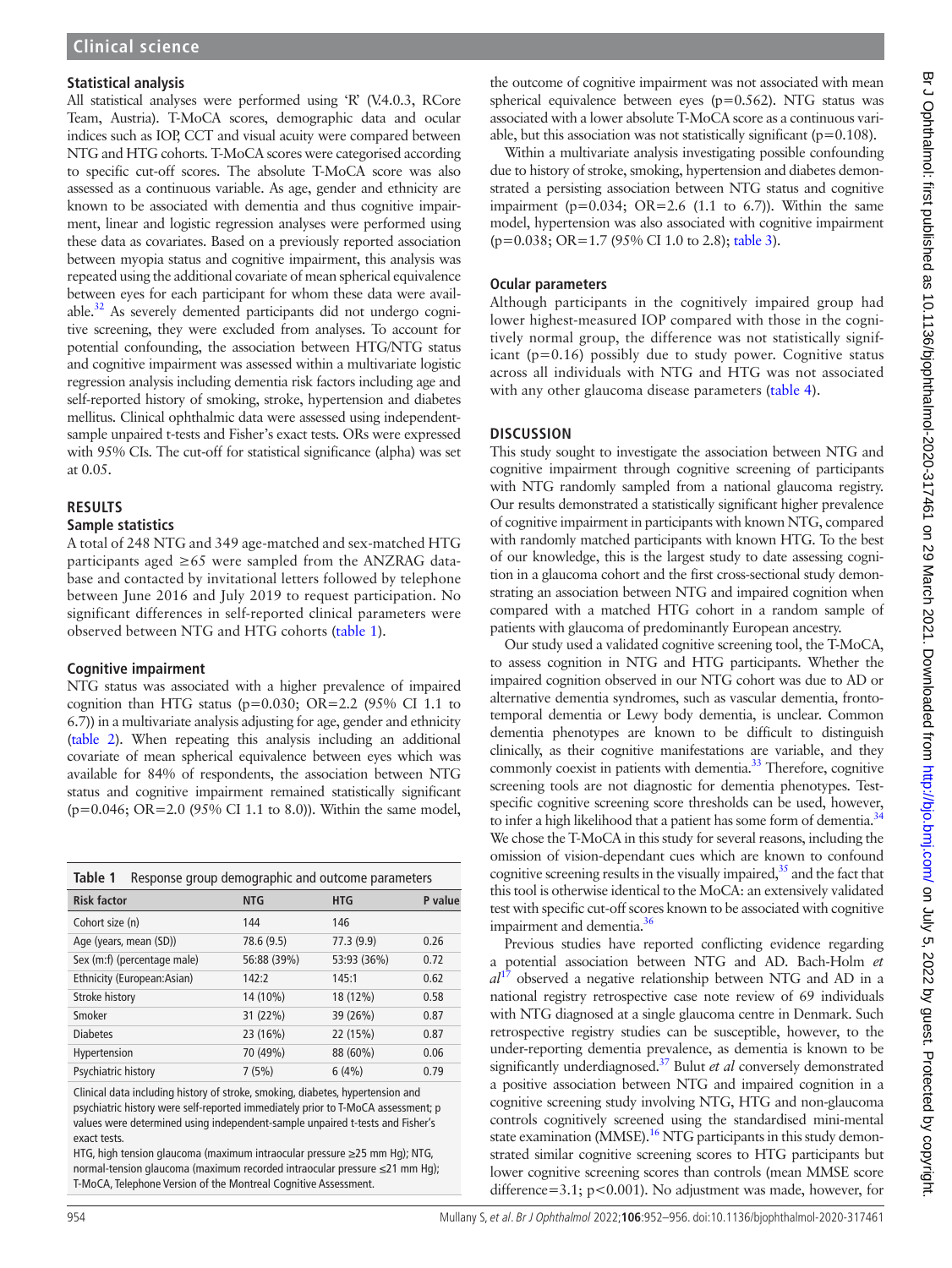### **Statistical analysis**

All statistical analyses were performed using 'R' (V.4.0.3, RCore Team, Austria). T-MoCA scores, demographic data and ocular indices such as IOP, CCT and visual acuity were compared between NTG and HTG cohorts. T-MoCA scores were categorised according to specific cut-off scores. The absolute T-MoCA score was also assessed as a continuous variable. As age, gender and ethnicity are known to be associated with dementia and thus cognitive impairment, linear and logistic regression analyses were performed using these data as covariates. Based on a previously reported association between myopia status and cognitive impairment, this analysis was repeated using the additional covariate of mean spherical equivalence between eyes for each participant for whom these data were available[.32](#page-4-22) As severely demented participants did not undergo cognitive screening, they were excluded from analyses. To account for potential confounding, the association between HTG/NTG status and cognitive impairment was assessed within a multivariate logistic regression analysis including dementia risk factors including age and self-reported history of smoking, stroke, hypertension and diabetes mellitus. Clinical ophthalmic data were assessed using independentsample unpaired t-tests and Fisher's exact tests. ORs were expressed with 95% CIs. The cut-off for statistical significance (alpha) was set at 0.05.

# **RESULTS**

#### **Sample statistics**

A total of 248 NTG and 349 age-matched and sex-matched HTG participants aged  $\geq 65$  were sampled from the ANZRAG database and contacted by invitational letters followed by telephone between June 2016 and July 2019 to request participation. No significant differences in self-reported clinical parameters were observed between NTG and HTG cohorts [\(table](#page-2-0) 1).

### **Cognitive impairment**

NTG status was associated with a higher prevalence of impaired cognition than HTG status (p=0.030; OR=2.2 (95% CI 1.1 to 6.7)) in a multivariate analysis adjusting for age, gender and ethnicity ([table](#page-3-0) 2). When repeating this analysis including an additional covariate of mean spherical equivalence between eyes which was available for 84% of respondents, the association between NTG status and cognitive impairment remained statistically significant (p=0.046; OR=2.0 (95% CI 1.1 to 8.0)). Within the same model,

<span id="page-2-0"></span>

| Table 1<br>Response group demographic and outcome parameters |             |             |         |  |
|--------------------------------------------------------------|-------------|-------------|---------|--|
| <b>Risk factor</b>                                           | <b>NTG</b>  | <b>HTG</b>  | P value |  |
| Cohort size (n)                                              | 144         | 146         |         |  |
| Age (years, mean (SD))                                       | 78.6 (9.5)  | 77.3 (9.9)  | 0.26    |  |
| Sex (m:f) (percentage male)                                  | 56:88 (39%) | 53:93 (36%) | 0.72    |  |
| Ethnicity (European:Asian)                                   | 142:2       | 145:1       | 0.62    |  |
| Stroke history                                               | 14 (10%)    | 18 (12%)    | 0.58    |  |
| Smoker                                                       | 31 (22%)    | 39 (26%)    | 0.87    |  |
| <b>Diabetes</b>                                              | 23 (16%)    | 22 (15%)    | 0.87    |  |
| Hypertension                                                 | 70 (49%)    | 88 (60%)    | 0.06    |  |
| Psychiatric history                                          | 7(5%)       | 6(4%)       | 0.79    |  |

Clinical data including history of stroke, smoking, diabetes, hypertension and psychiatric history were self-reported immediately prior to T-MoCA assessment; p values were determined using independent-sample unpaired t-tests and Fisher's exact tests.

HTG, high tension glaucoma (maximum intraocular pressure ≥25 mm Hg); NTG, normal-tension glaucoma (maximum recorded intraocular pressure ≤21 mm Hg); T-MoCA, Telephone Version of the Montreal Cognitive Assessment.

Br J Ophthalmol: first published as 10.1196/bjophthalmol-2020-317461 on 29 March 2021. Downloaded from htp://bjo.bmj.com/ on July 5, 2022 by guest. Protected by copyright Br J Ophthalmol: tirst published as 10.1136/bjophthalmol-2020-317461 on 29 March 2021. Downloaded from Downloaded from Downloaded from Arthol. First published as 10.1136/bjophthalmol-2020-317461 on 29 March 2021. Downloade

the outcome of cognitive impairment was not associated with mean spherical equivalence between eyes (p=0.562). NTG status was associated with a lower absolute T-MoCA score as a continuous variable, but this association was not statistically significant ( $p=0.108$ ).

Within a multivariate analysis investigating possible confounding due to history of stroke, smoking, hypertension and diabetes demonstrated a persisting association between NTG status and cognitive impairment ( $p=0.034$ ; OR=2.6 (1.1 to 6.7)). Within the same model, hypertension was also associated with cognitive impairment (p=0.038; OR=1.7 (95% CI 1.0 to 2.8); [table](#page-3-1) 3).

## **Ocular parameters**

Although participants in the cognitively impaired group had lower highest-measured IOP compared with those in the cognitively normal group, the difference was not statistically significant  $(p=0.16)$  possibly due to study power. Cognitive status across all individuals with NTG and HTG was not associated with any other glaucoma disease parameters [\(table](#page-3-2) 4).

# **DISCUSSION**

This study sought to investigate the association between NTG and cognitive impairment through cognitive screening of participants with NTG randomly sampled from a national glaucoma registry. Our results demonstrated a statistically significant higher prevalence of cognitive impairment in participants with known NTG, compared with randomly matched participants with known HTG. To the best of our knowledge, this is the largest study to date assessing cognition in a glaucoma cohort and the first cross-sectional study demonstrating an association between NTG and impaired cognition when compared with a matched HTG cohort in a random sample of patients with glaucoma of predominantly European ancestry.

Our study used a validated cognitive screening tool, the T-MoCA, to assess cognition in NTG and HTG participants. Whether the impaired cognition observed in our NTG cohort was due to AD or alternative dementia syndromes, such as vascular dementia, frontotemporal dementia or Lewy body dementia, is unclear. Common dementia phenotypes are known to be difficult to distinguish clinically, as their cognitive manifestations are variable, and they commonly coexist in patients with dementia.<sup>33</sup> Therefore, cognitive screening tools are not diagnostic for dementia phenotypes. Testspecific cognitive screening score thresholds can be used, however, to infer a high likelihood that a patient has some form of dementia. $34$ We chose the T-MoCA in this study for several reasons, including the omission of vision-dependant cues which are known to confound cognitive screening results in the visually impaired, $35$  and the fact that this tool is otherwise identical to the MoCA: an extensively validated test with specific cut-off scores known to be associated with cognitive impairment and dementia. $36$ 

Previous studies have reported conflicting evidence regarding a potential association between NTG and AD. Bach-Holm *et al*[17](#page-4-27) observed a negative relationship between NTG and AD in a national registry retrospective case note review of 69 individuals with NTG diagnosed at a single glaucoma centre in Denmark. Such retrospective registry studies can be susceptible, however, to the under-reporting dementia prevalence, as dementia is known to be significantly underdiagnosed.[37](#page-4-28) Bulut *et al* conversely demonstrated a positive association between NTG and impaired cognition in a cognitive screening study involving NTG, HTG and non-glaucoma controls cognitively screened using the standardised mini-mental state examination (MMSE).<sup>16</sup> NTG participants in this study demonstrated similar cognitive screening scores to HTG participants but lower cognitive screening scores than controls (mean MMSE score difference=3.1; p<0.001). No adjustment was made, however, for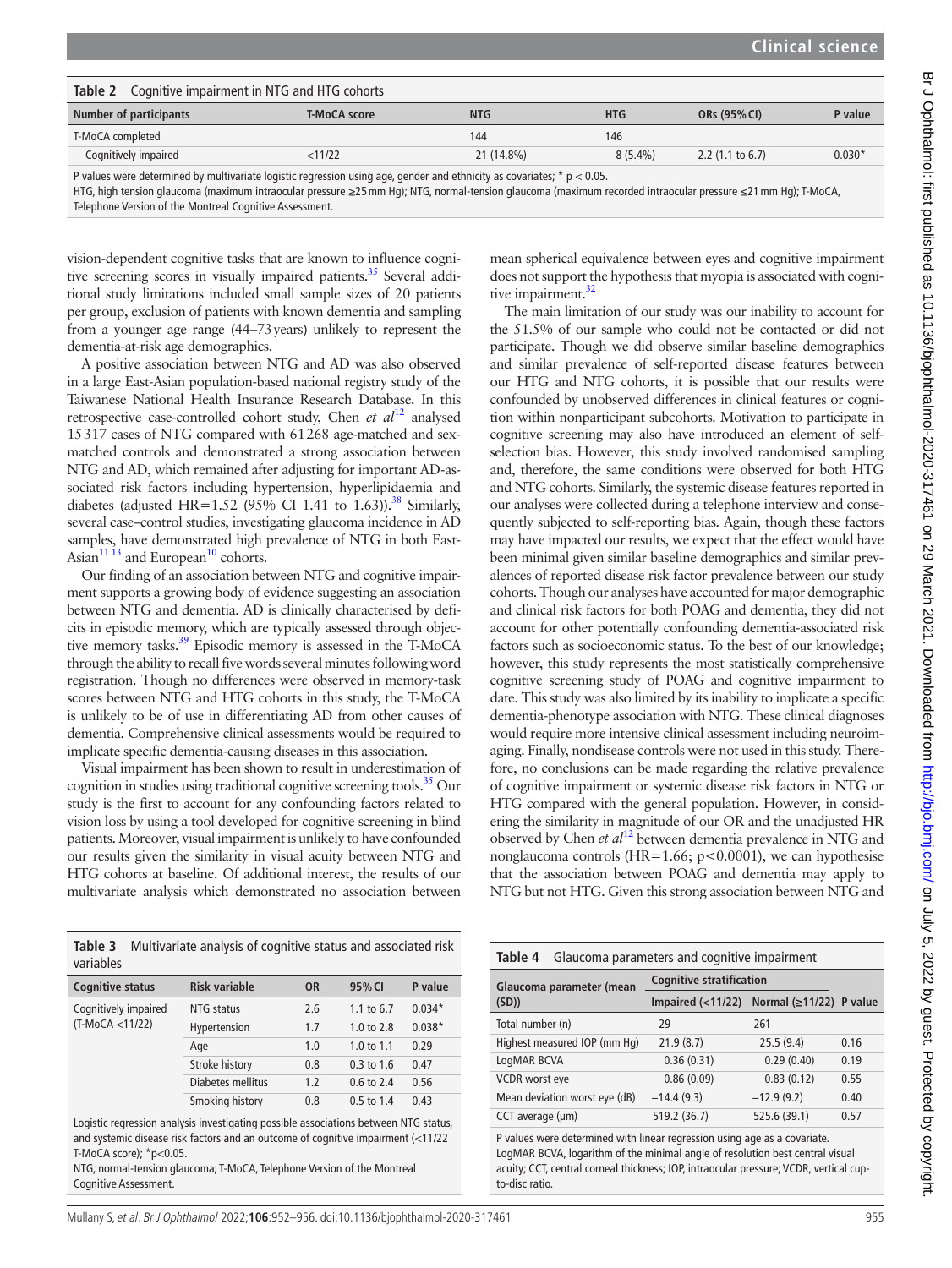<span id="page-3-0"></span>

| Table 2<br>Cognitive impairment in NTG and HTG cohorts |                     |                                                                                                                 |            |                             |          |
|--------------------------------------------------------|---------------------|-----------------------------------------------------------------------------------------------------------------|------------|-----------------------------|----------|
| Number of participants                                 | <b>T-MoCA score</b> | <b>NTG</b>                                                                                                      | <b>HTG</b> | ORs (95% CI)                | P value  |
| T-MoCA completed                                       |                     | 144                                                                                                             | 146        |                             |          |
| Cognitively impaired                                   | $<$ 11/22           | 21 (14.8%)                                                                                                      | $8(5.4\%)$ | 2.2 $(1.1 \text{ to } 6.7)$ | $0.030*$ |
| .                                                      |                     | the contract of the contract of the contract of the contract of the contract of the contract of the contract of |            |                             |          |

P values were determined by multivariate logistic regression using age, gender and ethnicity as covariates;  $* p < 0.05$ .

HTG, high tension glaucoma (maximum intraocular pressure ≥25mm Hg); NTG, normal-tension glaucoma (maximum recorded intraocular pressure ≤21mm Hg); T-MoCA,

Telephone Version of the Montreal Cognitive Assessment.

vision-dependent cognitive tasks that are known to influence cognitive screening scores in visually impaired patients.<sup>35</sup> Several additional study limitations included small sample sizes of 20 patients per group, exclusion of patients with known dementia and sampling from a younger age range (44–73years) unlikely to represent the dementia-at-risk age demographics.

A positive association between NTG and AD was also observed in a large East-Asian population-based national registry study of the Taiwanese National Health Insurance Research Database. In this retrospective case-controlled cohort study, Chen *et al*[12](#page-4-9) analysed 15317 cases of NTG compared with 61268 age-matched and sexmatched controls and demonstrated a strong association between NTG and AD, which remained after adjusting for important AD-associated risk factors including hypertension, hyperlipidaemia and diabetes (adjusted HR=1.52 (95% CI 1.41 to 1.63)).<sup>38</sup> Similarly, several case–control studies, investigating glaucoma incidence in AD samples, have demonstrated high prevalence of NTG in both East-Asian $11$ <sup>13</sup> and European<sup>10</sup> cohorts.

Our finding of an association between NTG and cognitive impairment supports a growing body of evidence suggesting an association between NTG and dementia. AD is clinically characterised by deficits in episodic memory, which are typically assessed through objective memory tasks.<sup>39</sup> Episodic memory is assessed in the T-MoCA through the ability to recall five words several minutes following word registration. Though no differences were observed in memory-task scores between NTG and HTG cohorts in this study, the T-MoCA is unlikely to be of use in differentiating AD from other causes of dementia. Comprehensive clinical assessments would be required to implicate specific dementia-causing diseases in this association.

Visual impairment has been shown to result in underestimation of cognition in studies using traditional cognitive screening tools.<sup>35</sup> Our study is the first to account for any confounding factors related to vision loss by using a tool developed for cognitive screening in blind patients. Moreover, visual impairment is unlikely to have confounded our results given the similarity in visual acuity between NTG and HTG cohorts at baseline. Of additional interest, the results of our multivariate analysis which demonstrated no association between

<span id="page-3-1"></span>**Table 3** Multivariate analysis of cognitive status and associated risk variables

| <b>Cognitive status</b> | <b>Risk variable</b> | <b>OR</b> | 95% CI                | P value  |
|-------------------------|----------------------|-----------|-----------------------|----------|
| Cognitively impaired    | NTG status           | 2.6       | 1.1 to 6.7            | $0.034*$ |
| (T-MoCA <11/22)         | Hypertension         | 1.7       | 1.0 to $2.8$          | $0.038*$ |
|                         | Age                  | 1.0       | 1.0 to $1.1$          | 0.29     |
|                         | Stroke history       | 0.8       | $0.3$ to 1.6          | 0.47     |
|                         | Diabetes mellitus    | 1.2       | $0.6 \text{ to } 2.4$ | 0.56     |
|                         | Smoking history      | 0.8       | $0.5$ to $1.4$        | 0.43     |

Logistic regression analysis investigating possible associations between NTG status, and systemic disease risk factors and an outcome of cognitive impairment (<11/22 T-MoCA score); \*p<0.05.

NTG, normal-tension glaucoma; T-MoCA, Telephone Version of the Montreal Cognitive Assessment.

mean spherical equivalence between eyes and cognitive impairment does not support the hypothesis that myopia is associated with cogni-tive impairment.<sup>[32](#page-4-22)</sup>

The main limitation of our study was our inability to account for the 51.5% of our sample who could not be contacted or did not participate. Though we did observe similar baseline demographics and similar prevalence of self-reported disease features between our HTG and NTG cohorts, it is possible that our results were confounded by unobserved differences in clinical features or cognition within nonparticipant subcohorts. Motivation to participate in cognitive screening may also have introduced an element of selfselection bias. However, this study involved randomised sampling and, therefore, the same conditions were observed for both HTG and NTG cohorts. Similarly, the systemic disease features reported in our analyses were collected during a telephone interview and consequently subjected to self-reporting bias. Again, though these factors may have impacted our results, we expect that the effect would have been minimal given similar baseline demographics and similar prevalences of reported disease risk factor prevalence between our study cohorts. Though our analyses have accounted for major demographic and clinical risk factors for both POAG and dementia, they did not account for other potentially confounding dementia-associated risk factors such as socioeconomic status. To the best of our knowledge; however, this study represents the most statistically comprehensive cognitive screening study of POAG and cognitive impairment to date. This study was also limited by its inability to implicate a specific dementia-phenotype association with NTG. These clinical diagnoses would require more intensive clinical assessment including neuroimaging. Finally, nondisease controls were not used in this study. Therefore, no conclusions can be made regarding the relative prevalence of cognitive impairment or systemic disease risk factors in NTG or HTG compared with the general population. However, in considering the similarity in magnitude of our OR and the unadjusted HR observed by Chen *et al*[12](#page-4-9) between dementia prevalence in NTG and nonglaucoma controls (HR=1.66; p<0.0001), we can hypothesise that the association between POAG and dementia may apply to NTG but not HTG. Given this strong association between NTG and

<span id="page-3-2"></span>

| Table 4<br>Glaucoma parameters and cognitive impairment |                                           |              |      |  |
|---------------------------------------------------------|-------------------------------------------|--------------|------|--|
| Glaucoma parameter (mean                                | <b>Cognitive stratification</b>           |              |      |  |
| (SD)                                                    | Impaired (<11/22) Normal (≥11/22) P value |              |      |  |
| Total number (n)                                        | 29                                        | 261          |      |  |
| Highest measured IOP (mm Hg)                            | 21.9(8.7)                                 | 25.5(9.4)    | 0.16 |  |
| LogMAR BCVA                                             | 0.36(0.31)                                | 0.29(0.40)   | 0.19 |  |
| VCDR worst eye                                          | 0.86(0.09)                                | 0.83(0.12)   | 0.55 |  |
| Mean deviation worst eye (dB)                           | $-14.4(9.3)$                              | $-12.9(9.2)$ | 0.40 |  |
| $CCT$ average ( $\mu$ m)                                | 519.2 (36.7)                              | 525.6 (39.1) | 0.57 |  |
|                                                         |                                           |              |      |  |

P values were determined with linear regression using age as a covariate. LogMAR BCVA, logarithm of the minimal angle of resolution best central visual acuity; CCT, central corneal thickness; IOP, intraocular pressure; VCDR, vertical cupto-disc ratio.